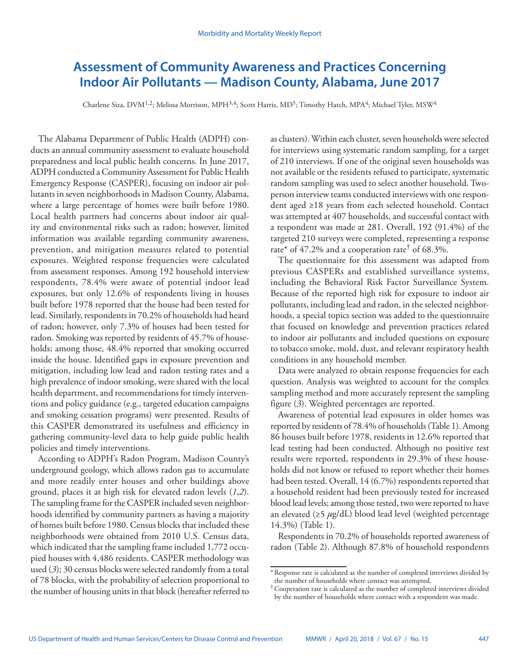# **Assessment of Community Awareness and Practices Concerning Indoor Air Pollutants — Madison County, Alabama, June 2017**

Charlene Siza, DVM<sup>1,2</sup>; Melissa Morrison, MPH<sup>3,4</sup>; Scott Harris, MD<sup>5</sup>; Timothy Hatch, MPA<sup>4</sup>; Michael Tyler, MSW<sup>4</sup>

The Alabama Department of Public Health (ADPH) conducts an annual community assessment to evaluate household preparedness and local public health concerns. In June 2017, ADPH conducted a Community Assessment for Public Health Emergency Response (CASPER), focusing on indoor air pollutants in seven neighborhoods in Madison County, Alabama, where a large percentage of homes were built before 1980. Local health partners had concerns about indoor air quality and environmental risks such as radon; however, limited information was available regarding community awareness, prevention, and mitigation measures related to potential exposures. Weighted response frequencies were calculated from assessment responses. Among 192 household interview respondents, 78.4% were aware of potential indoor lead exposures, but only 12.6% of respondents living in houses built before 1978 reported that the house had been tested for lead. Similarly, respondents in 70.2% of households had heard of radon; however, only 7.3% of houses had been tested for radon. Smoking was reported by residents of 45.7% of households; among those, 48.4% reported that smoking occurred inside the house. Identified gaps in exposure prevention and mitigation, including low lead and radon testing rates and a high prevalence of indoor smoking, were shared with the local health department, and recommendations for timely interventions and policy guidance (e.g., targeted education campaigns and smoking cessation programs) were presented. Results of this CASPER demonstrated its usefulness and efficiency in gathering community-level data to help guide public health policies and timely interventions.

According to ADPH's Radon Program, Madison County's underground geology, which allows radon gas to accumulate and more readily enter houses and other buildings above ground, places it at high risk for elevated radon levels (*1*,*2*). The sampling frame for the CASPER included seven neighborhoods identified by community partners as having a majority of homes built before 1980. Census blocks that included these neighborhoods were obtained from 2010 U.S. Census data, which indicated that the sampling frame included 1,772 occupied houses with 4,486 residents. CASPER methodology was used (*3*); 30 census blocks were selected randomly from a total of 78 blocks, with the probability of selection proportional to the number of housing units in that block (hereafter referred to

as clusters). Within each cluster, seven households were selected for interviews using systematic random sampling, for a target of 210 interviews. If one of the original seven households was not available or the residents refused to participate, systematic random sampling was used to select another household. Twoperson interview teams conducted interviews with one respondent aged ≥18 years from each selected household. Contact was attempted at 407 households, and successful contact with a respondent was made at 281. Overall, 192 (91.4%) of the targeted 210 surveys were completed, representing a response rate\* of 47.2% and a cooperation rate<sup>†</sup> of 68.3%.

The questionnaire for this assessment was adapted from previous CASPERs and established surveillance systems, including the Behavioral Risk Factor Surveillance System. Because of the reported high risk for exposure to indoor air pollutants, including lead and radon, in the selected neighborhoods, a special topics section was added to the questionnaire that focused on knowledge and prevention practices related to indoor air pollutants and included questions on exposure to tobacco smoke, mold, dust, and relevant respiratory health conditions in any household member.

Data were analyzed to obtain response frequencies for each question. Analysis was weighted to account for the complex sampling method and more accurately represent the sampling figure (*3*). Weighted percentages are reported.

Awareness of potential lead exposures in older homes was reported by residents of 78.4% of households (Table 1). Among 86 houses built before 1978, residents in 12.6% reported that lead testing had been conducted. Although no positive test results were reported, respondents in 29.3% of these households did not know or refused to report whether their homes had been tested. Overall, 14 (6.7%) respondents reported that a household resident had been previously tested for increased blood lead levels; among those tested, two were reported to have an elevated (≥5 *µ*g/dL) blood lead level (weighted percentage 14.3%) (Table 1).

Respondents in 70.2% of households reported awareness of radon (Table 2). Although 87.8% of household respondents

<sup>\*</sup>Response rate is calculated as the number of completed interviews divided by the number of households where contact was attempted.

<sup>†</sup>Cooperation rate is calculated as the number of completed interviews divided by the number of households where contact with a respondent was made.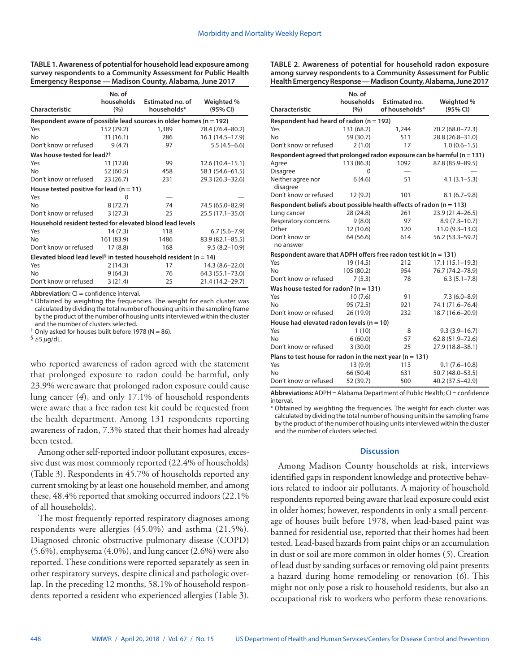| TABLE 1. Awareness of potential for household lead exposure among |
|-------------------------------------------------------------------|
| survey respondents to a Community Assessment for Public Health    |
| Emergency Response — Madison County, Alabama, June 2017           |
|                                                                   |

| Characteristic                                                               | No. of<br>households<br>(%) | Estimated no. of<br>households* | Weighted %<br>(95% CI) |  |  |  |
|------------------------------------------------------------------------------|-----------------------------|---------------------------------|------------------------|--|--|--|
| Respondent aware of possible lead sources in older homes ( $n = 192$ )       |                             |                                 |                        |  |  |  |
| Yes                                                                          | 152 (79.2)                  | 1,389                           | 78.4 (76.4–80.2)       |  |  |  |
| No                                                                           | 31 (16.1)                   | 286                             | $16.1(14.5-17.9)$      |  |  |  |
| Don't know or refused                                                        | 9(4.7)                      | 97                              | $5.5(4.5-6.6)$         |  |  |  |
| Was house tested for lead? <sup>†</sup>                                      |                             |                                 |                        |  |  |  |
| Yes                                                                          | 11 (12.8)                   | 99                              | $12.6(10.4-15.1)$      |  |  |  |
| <b>No</b>                                                                    | 52 (60.5)                   | 458                             | 58.1 (54.6–61.5)       |  |  |  |
| Don't know or refused                                                        | 23(26.7)                    | 231                             | 29.3 (26.3–32.6)       |  |  |  |
| House tested positive for lead ( $n = 11$ )                                  |                             |                                 |                        |  |  |  |
| Yes                                                                          | 0                           |                                 |                        |  |  |  |
| <b>No</b>                                                                    | 8(72.7)                     | 74                              | 74.5 (65.0-82.9)       |  |  |  |
| Don't know or refused                                                        | 3(27.3)                     | 25                              | $25.5(17.1 - 35.0)$    |  |  |  |
| Household resident tested for elevated blood lead levels                     |                             |                                 |                        |  |  |  |
| Yes                                                                          | 14 (7.3)                    | 118                             | $6.7(5.6 - 7.9)$       |  |  |  |
| No                                                                           | 161 (83.9)                  | 1486                            | 83.9 (82.1-85.5)       |  |  |  |
| Don't know or refused                                                        | 17(8.8)                     | 168                             | $9.5(8.2 - 10.9)$      |  |  |  |
| Elevated blood lead level <sup>§</sup> in tested household resident (n = 14) |                             |                                 |                        |  |  |  |
| Yes                                                                          | 2(14.3)                     | 17                              | $14.3(8.6 - 22.0)$     |  |  |  |
| No                                                                           | 9(64.3)                     | 76                              | 64.3 (55.1-73.0)       |  |  |  |
| Don't know or refused                                                        | 3(21.4)                     | 25                              | 21.4 (14.2-29.7)       |  |  |  |

**Abbreviation:** CI = confidence interval.

\* Obtained by weighting the frequencies. The weight for each cluster was calculated by dividing the total number of housing units in the sampling frame by the product of the number of housing units interviewed within the cluster and the number of clusters selected.

 $<sup>†</sup>$  Only asked for houses built before 1978 (N = 86).</sup>

§ ≥5 *μ*g/dL.

who reported awareness of radon agreed with the statement that prolonged exposure to radon could be harmful, only 23.9% were aware that prolonged radon exposure could cause lung cancer (*4*), and only 17.1% of household respondents were aware that a free radon test kit could be requested from the health department. Among 131 respondents reporting awareness of radon, 7.3% stated that their homes had already been tested.

Among other self-reported indoor pollutant exposures, excessive dust was most commonly reported (22.4% of households) (Table 3). Respondents in 45.7% of households reported any current smoking by at least one household member, and among these, 48.4% reported that smoking occurred indoors (22.1% of all households).

The most frequently reported respiratory diagnoses among respondents were allergies (45.0%) and asthma (21.5%). Diagnosed chronic obstructive pulmonary disease (COPD) (5.6%), emphysema (4.0%), and lung cancer (2.6%) were also reported. These conditions were reported separately as seen in other respiratory surveys, despite clinical and pathologic overlap. In the preceding 12 months, 58.1% of household respondents reported a resident who experienced allergies (Table 3). **TABLE 2. Awareness of potential for household radon exposure among survey respondents to a Community Assessment for Public Health Emergency Response — Madison County, Alabama, June 2017**

| Characteristic                                                               | No. of<br>households | Estimated no.<br>of households* | Weighted %<br>(95% CI) |  |  |  |
|------------------------------------------------------------------------------|----------------------|---------------------------------|------------------------|--|--|--|
| (%)                                                                          |                      |                                 |                        |  |  |  |
| Respondent had heard of radon ( $n = 192$ )<br>Yes                           | 131 (68.2)           | 1,244                           | 70.2 (68.0-72.3)       |  |  |  |
| <b>No</b>                                                                    | 59 (30.7)            | 511                             | 28.8 (26.8-31.0)       |  |  |  |
| Don't know or refused                                                        | 2(1.0)               | 17                              | $1.0(0.6-1.5)$         |  |  |  |
| Respondent agreed that prolonged radon exposure can be harmful ( $n = 131$ ) |                      |                                 |                        |  |  |  |
| Agree                                                                        | 113(86.3)            | 1092                            | 87.8 (85.9-89.5)       |  |  |  |
| <b>Disagree</b>                                                              | 0                    |                                 |                        |  |  |  |
| Neither agree nor<br>disagree                                                | 6(4.6)               | 51                              | $4.1(3.1 - 5.3)$       |  |  |  |
| Don't know or refused                                                        | 12(9.2)              | 101                             | $8.1(6.7-9.8)$         |  |  |  |
| Respondent beliefs about possible health effects of radon $(n = 113)$        |                      |                                 |                        |  |  |  |
| Lung cancer                                                                  | 28 (24.8)            | 261                             | 23.9 (21.4-26.5)       |  |  |  |
| Respiratory concerns                                                         | 9(8.0)               | 97                              | $8.9(7.3 - 10.7)$      |  |  |  |
| Other                                                                        | 12 (10.6)            | 120                             | $11.0(9.3 - 13.0)$     |  |  |  |
| Don't know or<br>no answer                                                   | 64 (56.6)            | 614                             | 56.2 (53.3-59.2)       |  |  |  |
| Respondent aware that ADPH offers free radon test kit ( $n = 131$ )          |                      |                                 |                        |  |  |  |
| Yes                                                                          | 19(14.5)             | 212                             | $17.1(15.1 - 19.3)$    |  |  |  |
| No                                                                           | 105 (80.2)           | 954                             | 76.7 (74.2-78.9)       |  |  |  |
| Don't know or refused                                                        | 7(5.3)               | 78                              | $6.3(5.1 - 7.8)$       |  |  |  |
| Was house tested for radon? ( $n = 131$ )                                    |                      |                                 |                        |  |  |  |
| Yes                                                                          | 10(7.6)              | 91                              | $7.3(6.0 - 8.9)$       |  |  |  |
| No                                                                           | 95 (72.5)            | 921                             | 74.1 (71.6-76.4)       |  |  |  |
| Don't know or refused                                                        | 26 (19.9)            | 232                             | 18.7 (16.6-20.9)       |  |  |  |
| House had elevated radon levels ( $n = 10$ )                                 |                      |                                 |                        |  |  |  |
| Yes                                                                          | 1(10)                | 8                               | $9.3(3.9 - 16.7)$      |  |  |  |
| No                                                                           | 6(60.0)              | 57                              | 62.8 (51.9-72.6)       |  |  |  |
| Don't know or refused                                                        | 3(30.0)              | 25                              | 27.9 (18.8-38.1)       |  |  |  |
| Plans to test house for radon in the next year ( $n = 131$ )                 |                      |                                 |                        |  |  |  |
| Yes                                                                          | 13 (9.9)             | 113                             | $9.1(7.6 - 10.8)$      |  |  |  |
| No                                                                           | 66 (50.4)            | 631                             | 50.7 (48.0-53.5)       |  |  |  |
| Don't know or refused                                                        | 52 (39.7)            | 500                             | 40.2 (37.5-42.9)       |  |  |  |

**Abbreviations:** ADPH = Alabama Department of Public Health; CI = confidence interval.

\* Obtained by weighting the frequencies. The weight for each cluster was calculated by dividing the total number of housing units in the sampling frame by the product of the number of housing units interviewed within the cluster and the number of clusters selected.

#### **Discussion**

Among Madison County households at risk, interviews identified gaps in respondent knowledge and protective behaviors related to indoor air pollutants. A majority of household respondents reported being aware that lead exposure could exist in older homes; however, respondents in only a small percentage of houses built before 1978, when lead-based paint was banned for residential use, reported that their homes had been tested. Lead-based hazards from paint chips or an accumulation in dust or soil are more common in older homes (*5*). Creation of lead dust by sanding surfaces or removing old paint presents a hazard during home remodeling or renovation (*6*). This might not only pose a risk to household residents, but also an occupational risk to workers who perform these renovations.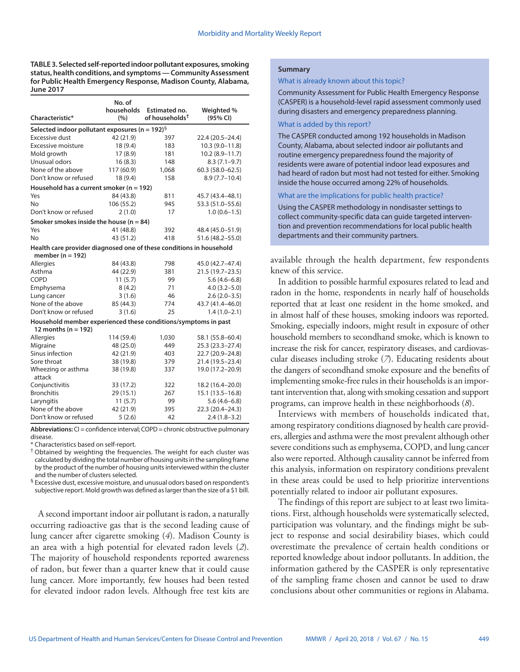**TABLE 3. Selected self-reported indoor pollutant exposures, smoking status, health conditions, and symptoms — Community Assessment for Public Health Emergency Response, Madison County, Alabama, June 2017**

|                                                                                             | No. of            |                                             |                        |  |  |  |  |
|---------------------------------------------------------------------------------------------|-------------------|---------------------------------------------|------------------------|--|--|--|--|
| Characteristic*                                                                             | households<br>(%) | Estimated no.<br>of households <sup>†</sup> | Weighted %<br>(95% CI) |  |  |  |  |
| Selected indoor pollutant exposures (n = 192) <sup>§</sup>                                  |                   |                                             |                        |  |  |  |  |
| Excessive dust                                                                              | 42 (21.9)         | 397                                         | 22.4 (20.5-24.4)       |  |  |  |  |
| Excessive moisture                                                                          | 18 (9.4)          | 183                                         | $10.3(9.0 - 11.8)$     |  |  |  |  |
| Mold growth                                                                                 | 17(8.9)           | 181                                         | $10.2(8.9 - 11.7)$     |  |  |  |  |
| Unusual odors                                                                               | 16(8.3)           | 148                                         | $8.3(7.1-9.7)$         |  |  |  |  |
| None of the above                                                                           | 117 (60.9)        | 1,068                                       | $60.3(58.0 - 62.5)$    |  |  |  |  |
| Don't know or refused                                                                       | 18 (9.4)          | 158                                         | $8.9(7.7-10.4)$        |  |  |  |  |
| Household has a current smoker ( $n = 192$ )                                                |                   |                                             |                        |  |  |  |  |
| Yes                                                                                         | 84 (43.8)         | 811                                         | 45.7 (43.4-48.1)       |  |  |  |  |
| No                                                                                          | 106 (55.2)        | 945                                         | 53.3 (51.0-55.6)       |  |  |  |  |
| Don't know or refused                                                                       | 2(1.0)            | 17                                          | $1.0(0.6-1.5)$         |  |  |  |  |
| Smoker smokes inside the house ( $n = 84$ )                                                 |                   |                                             |                        |  |  |  |  |
| Yes                                                                                         | 41 (48.8)         | 392                                         | 48.4 (45.0-51.9)       |  |  |  |  |
| No                                                                                          | 43 (51.2)         | 418                                         | 51.6 (48.2-55.0)       |  |  |  |  |
| Health care provider diagnosed one of these conditions in household<br>member ( $n = 192$ ) |                   |                                             |                        |  |  |  |  |
| <b>Allergies</b>                                                                            | 84 (43.8)         | 798                                         | 45.0 (42.7-47.4)       |  |  |  |  |
| Asthma                                                                                      | 44 (22.9)         | 381                                         | 21.5 (19.7-23.5)       |  |  |  |  |
| COPD                                                                                        | 11(5.7)           | 99                                          | $5.6(4.6-6.8)$         |  |  |  |  |
| Emphysema                                                                                   | 8(4.2)            | 71                                          | $4.0(3.2 - 5.0)$       |  |  |  |  |
| Lung cancer                                                                                 | 3(1.6)            | 46                                          | $2.6(2.0-3.5)$         |  |  |  |  |
| None of the above                                                                           | 85 (44.3)         | 774                                         | 43.7 (41.4-46.0)       |  |  |  |  |
| Don't know or refused                                                                       | 3(1.6)            | 25                                          | $1.4(1.0-2.1)$         |  |  |  |  |
| Household member experienced these conditions/symptoms in past<br>12 months ( $n = 192$ )   |                   |                                             |                        |  |  |  |  |
| Allergies                                                                                   | 114 (59.4)        | 1,030                                       | 58.1 (55.8-60.4)       |  |  |  |  |
| Migraine                                                                                    | 48 (25.0)         | 449                                         | $25.3(23.3 - 27.4)$    |  |  |  |  |
| Sinus infection                                                                             | 42 (21.9)         | 403                                         | 22.7 (20.9-24.8)       |  |  |  |  |
| Sore throat                                                                                 | 38 (19.8)         | 379                                         | 21.4 (19.5-23.4)       |  |  |  |  |
| Wheezing or asthma<br>attack                                                                | 38 (19.8)         | 337                                         | 19.0 (17.2-20.9)       |  |  |  |  |
| Conjunctivitis                                                                              | 33 (17.2)         | 322                                         | 18.2 (16.4-20.0)       |  |  |  |  |
| <b>Bronchitis</b>                                                                           | 29(15.1)          | 267                                         | $15.1(13.5 - 16.8)$    |  |  |  |  |
| Laryngitis                                                                                  | 11(5.7)           | 99                                          | $5.6(4.6-6.8)$         |  |  |  |  |
| None of the above                                                                           | 42 (21.9)         | 395                                         | 22.3 (20.4-24.3)       |  |  |  |  |
| Don't know or refused                                                                       | 5(2.6)            | 42                                          | $2.4(1.8-3.2)$         |  |  |  |  |

**Abbreviations:** CI = confidence interval; COPD = chronic obstructive pulmonary disease.

\* Characteristics based on self-report.

† Obtained by weighting the frequencies. The weight for each cluster was calculated by dividing the total number of housing units in the sampling frame by the product of the number of housing units interviewed within the cluster and the number of clusters selected.

§ Excessive dust, excessive moisture, and unusual odors based on respondent's subjective report. Mold growth was defined as larger than the size of a \$1 bill.

A second important indoor air pollutant is radon, a naturally occurring radioactive gas that is the second leading cause of lung cancer after cigarette smoking (*4*). Madison County is an area with a high potential for elevated radon levels (*2*). The majority of household respondents reported awareness of radon, but fewer than a quarter knew that it could cause lung cancer. More importantly, few houses had been tested for elevated indoor radon levels. Although free test kits are

## **Summary**

What is already known about this topic?

Community Assessment for Public Health Emergency Response (CASPER) is a household-level rapid assessment commonly used during disasters and emergency preparedness planning.

#### What is added by this report?

The CASPER conducted among 192 households in Madison County, Alabama, about selected indoor air pollutants and routine emergency preparedness found the majority of residents were aware of potential indoor lead exposures and had heard of radon but most had not tested for either. Smoking inside the house occurred among 22% of households.

What are the implications for public health practice?

Using the CASPER methodology in nondisaster settings to collect community-specific data can guide targeted intervention and prevention recommendations for local public health departments and their community partners.

available through the health department, few respondents knew of this service.

In addition to possible harmful exposures related to lead and radon in the home, respondents in nearly half of households reported that at least one resident in the home smoked, and in almost half of these houses, smoking indoors was reported. Smoking, especially indoors, might result in exposure of other household members to secondhand smoke, which is known to increase the risk for cancer, respiratory diseases, and cardiovascular diseases including stroke (*7*). Educating residents about the dangers of secondhand smoke exposure and the benefits of implementing smoke-free rules in their households is an important intervention that, along with smoking cessation and support programs, can improve health in these neighborhoods (*8*).

Interviews with members of households indicated that, among respiratory conditions diagnosed by health care providers, allergies and asthma were the most prevalent although other severe conditions such as emphysema, COPD, and lung cancer also were reported. Although causality cannot be inferred from this analysis, information on respiratory conditions prevalent in these areas could be used to help prioritize interventions potentially related to indoor air pollutant exposures.

The findings of this report are subject to at least two limitations. First, although households were systematically selected, participation was voluntary, and the findings might be subject to response and social desirability biases, which could overestimate the prevalence of certain health conditions or reported knowledge about indoor pollutants. In addition, the information gathered by the CASPER is only representative of the sampling frame chosen and cannot be used to draw conclusions about other communities or regions in Alabama.